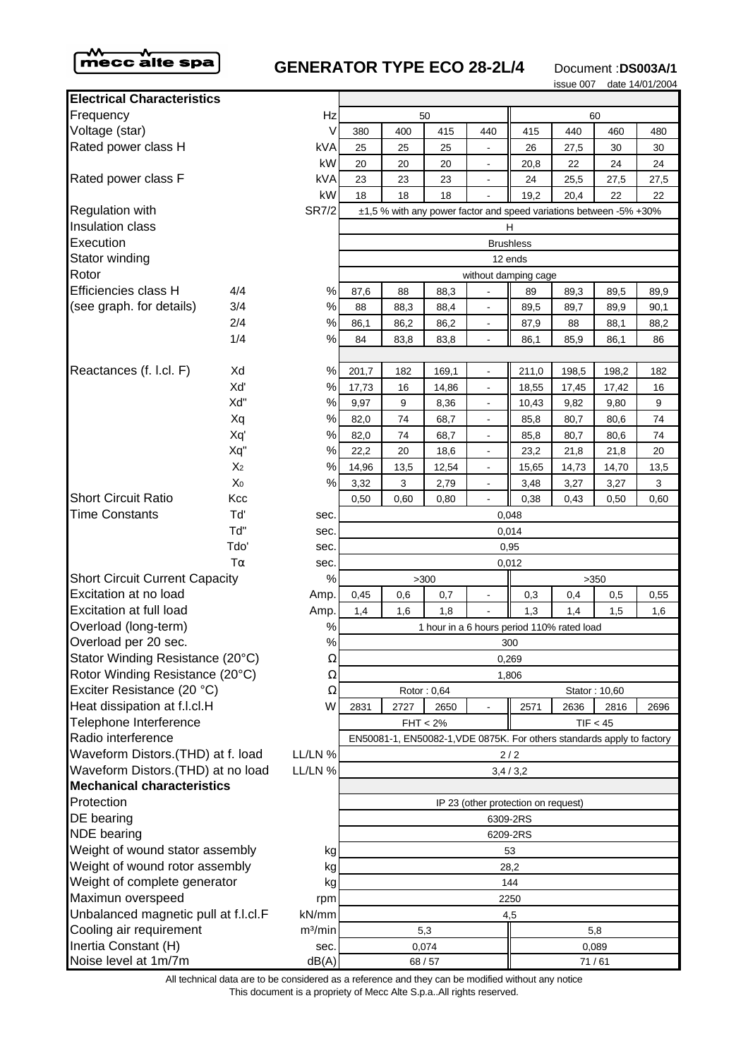

## **GENERATOR TYPE ECO 28-2L/4** Document :DS003A/1

issue 007 date 14/01/2004

| <b>Electrical Characteristics</b>                      |                |                     |                |                                                                         |             |                                            |          |       |                                                                        |      |  |
|--------------------------------------------------------|----------------|---------------------|----------------|-------------------------------------------------------------------------|-------------|--------------------------------------------|----------|-------|------------------------------------------------------------------------|------|--|
| Frequency<br>Hz                                        |                |                     | 50             |                                                                         |             |                                            | 60       |       |                                                                        |      |  |
| Voltage (star)                                         |                | V                   | 380            | 400                                                                     | 415         | 440                                        | 415      | 440   | 460                                                                    | 480  |  |
| Rated power class H                                    |                | kVA                 | 25             | 25                                                                      | 25          |                                            | 26       | 27,5  | 30                                                                     | 30   |  |
|                                                        |                | kW                  | 20             | 20                                                                      | 20          | $\blacksquare$                             | 20,8     | 22    | 24                                                                     | 24   |  |
| Rated power class F                                    |                | kVA                 | 23             | 23                                                                      | 23          |                                            | 24       | 25,5  | 27,5                                                                   | 27,5 |  |
|                                                        |                | kW                  | 18             | 18                                                                      | 18          |                                            | 19,2     | 20,4  | 22                                                                     | 22   |  |
| Regulation with                                        |                | <b>SR7/2</b>        |                |                                                                         |             |                                            |          |       |                                                                        |      |  |
| Insulation class                                       |                |                     |                | ±1,5 % with any power factor and speed variations between -5% +30%<br>H |             |                                            |          |       |                                                                        |      |  |
| Execution                                              |                |                     |                | <b>Brushless</b>                                                        |             |                                            |          |       |                                                                        |      |  |
| Stator winding                                         |                |                     |                |                                                                         |             |                                            | 12 ends  |       |                                                                        |      |  |
| Rotor                                                  |                |                     |                |                                                                         |             | without damping cage                       |          |       |                                                                        |      |  |
| <b>Efficiencies class H</b>                            | 4/4            | %                   | 87,6           | 88                                                                      | 88,3        |                                            | 89       | 89,3  | 89,5                                                                   | 89,9 |  |
| (see graph. for details)                               | 3/4            | $\%$                | 88             | 88,3                                                                    | 88,4        | $\blacksquare$                             | 89,5     | 89,7  | 89,9                                                                   | 90,1 |  |
|                                                        | 2/4            | $\%$                | 86,1           | 86,2                                                                    | 86,2        | $\overline{a}$                             | 87,9     | 88    | 88,1                                                                   | 88,2 |  |
|                                                        | 1/4            | $\%$                | 84             | 83,8                                                                    | 83,8        |                                            | 86,1     | 85,9  | 86,1                                                                   | 86   |  |
|                                                        |                |                     |                |                                                                         |             |                                            |          |       |                                                                        |      |  |
| Reactances (f. l.cl. F)                                | Xd             | %                   | 201,7          | 182                                                                     | 169,1       |                                            | 211,0    | 198,5 | 198,2                                                                  | 182  |  |
|                                                        | Xď             | %                   | 17,73          | 16                                                                      | 14,86       |                                            | 18,55    | 17,45 | 17,42                                                                  | 16   |  |
|                                                        | Xd"            | $\%$                | 9,97           | 9                                                                       | 8,36        | $\blacksquare$                             | 10,43    | 9,82  | 9,80                                                                   | 9    |  |
|                                                        | Xq             | %                   | 82,0           | 74                                                                      | 68,7        | $\overline{\phantom{a}}$                   | 85,8     | 80,7  | 80,6                                                                   | 74   |  |
|                                                        | Xq'            | %                   | 82,0           | 74                                                                      | 68,7        | $\overline{\phantom{a}}$                   | 85,8     | 80,7  | 80,6                                                                   | 74   |  |
|                                                        | Xq"            | $\%$                | 22,2           | 20                                                                      | 18,6        |                                            | 23,2     | 21,8  | 21,8                                                                   | 20   |  |
|                                                        | X <sub>2</sub> | $\%$                | 14,96          | 13,5                                                                    | 12,54       | $\overline{\phantom{a}}$                   | 15,65    | 14,73 | 14,70                                                                  | 13,5 |  |
|                                                        | X <sub>0</sub> | $\%$                | 3,32           | 3                                                                       | 2,79        | $\overline{\phantom{a}}$                   | 3,48     | 3,27  | 3,27                                                                   | 3    |  |
| <b>Short Circuit Ratio</b>                             | Kcc            |                     | 0,50           | 0,60                                                                    | 0.80        |                                            | 0,38     | 0,43  | 0,50                                                                   | 0,60 |  |
| <b>Time Constants</b>                                  | Td'            | sec.                | 0,048          |                                                                         |             |                                            |          |       |                                                                        |      |  |
|                                                        | Td"            | sec.                | 0,014          |                                                                         |             |                                            |          |       |                                                                        |      |  |
|                                                        | Tdo'           | sec.                | 0,95           |                                                                         |             |                                            |          |       |                                                                        |      |  |
|                                                        | $T\alpha$      | sec.                | 0,012          |                                                                         |             |                                            |          |       |                                                                        |      |  |
| <b>Short Circuit Current Capacity</b><br>%             |                | >300<br>>350        |                |                                                                         |             |                                            |          |       |                                                                        |      |  |
| Excitation at no load                                  |                | Amp.                | 0,45           | 0,6                                                                     | 0,7         |                                            | 0,3      | 0,4   | 0,5                                                                    | 0,55 |  |
| Excitation at full load                                |                | Amp.                | 1,4            | 1,6                                                                     | 1,8         |                                            | 1,3      | 1,4   | 1,5                                                                    | 1,6  |  |
| Overload (long-term)                                   |                | $\%$                |                |                                                                         |             | 1 hour in a 6 hours period 110% rated load |          |       |                                                                        |      |  |
| Overload per 20 sec.                                   |                | $\%$                |                |                                                                         |             |                                            | 300      |       |                                                                        |      |  |
| Stator Winding Resistance (20°C)                       |                | $\Omega$            |                |                                                                         |             |                                            | 0,269    |       |                                                                        |      |  |
| Rotor Winding Resistance (20°C)                        |                | Ω                   |                |                                                                         |             |                                            | 1,806    |       |                                                                        |      |  |
| Exciter Resistance (20 °C)                             |                | Ω                   |                |                                                                         | Rotor: 0,64 |                                            |          |       | Stator: 10,60                                                          |      |  |
|                                                        |                | W                   | 2831           | 2727                                                                    | 2650        |                                            | 2571     | 2636  | 2816                                                                   | 2696 |  |
| Heat dissipation at f.l.cl.H<br>Telephone Interference |                |                     |                |                                                                         | $FHT < 2\%$ |                                            |          |       | TIF < 45                                                               |      |  |
| Radio interference                                     |                |                     |                |                                                                         |             |                                            |          |       | EN50081-1, EN50082-1, VDE 0875K. For others standards apply to factory |      |  |
| Waveform Distors.(THD) at f. load                      |                | LL/LN %             |                |                                                                         |             |                                            | 2/2      |       |                                                                        |      |  |
| Waveform Distors. (THD) at no load                     |                | LL/LN %             |                |                                                                         |             |                                            | 3,4/3,2  |       |                                                                        |      |  |
| <b>Mechanical characteristics</b>                      |                |                     |                |                                                                         |             |                                            |          |       |                                                                        |      |  |
| Protection                                             |                |                     |                |                                                                         |             | IP 23 (other protection on request)        |          |       |                                                                        |      |  |
| DE bearing                                             |                |                     |                |                                                                         |             |                                            | 6309-2RS |       |                                                                        |      |  |
| <b>NDE</b> bearing                                     |                |                     |                |                                                                         |             |                                            | 6209-2RS |       |                                                                        |      |  |
|                                                        |                |                     |                |                                                                         |             |                                            |          |       |                                                                        |      |  |
| Weight of wound stator assembly<br>kg                  |                | 53<br>28,2          |                |                                                                         |             |                                            |          |       |                                                                        |      |  |
| Weight of wound rotor assembly<br>kg                   |                |                     |                |                                                                         |             |                                            |          |       |                                                                        |      |  |
| Weight of complete generator<br>kg                     |                | 144<br>2250         |                |                                                                         |             |                                            |          |       |                                                                        |      |  |
| Maximun overspeed                                      |                | rpm                 |                |                                                                         |             |                                            |          |       |                                                                        |      |  |
| Unbalanced magnetic pull at f.l.cl.F                   |                | kN/mm               | 4,5            |                                                                         |             |                                            |          |       |                                                                        |      |  |
| Cooling air requirement                                |                | m <sup>3</sup> /min | 5,3<br>5,8     |                                                                         |             |                                            |          |       |                                                                        |      |  |
| Inertia Constant (H)                                   |                | sec.<br>dB(A)       | 0,074<br>0,089 |                                                                         |             |                                            |          |       |                                                                        |      |  |
| Noise level at 1m/7m                                   |                |                     |                | 68/57<br>71/61                                                          |             |                                            |          |       |                                                                        |      |  |

|                 | Hz                  | 50                                                                     |                      |             |                          | 60       |                                            |       |      |  |  |
|-----------------|---------------------|------------------------------------------------------------------------|----------------------|-------------|--------------------------|----------|--------------------------------------------|-------|------|--|--|
|                 | V                   | 380                                                                    | 400                  | 415         | 440                      | 415      | 440                                        | 460   | 480  |  |  |
|                 | kVA                 | 25                                                                     | 25                   | 25          |                          | 26       | 27,5                                       | 30    | 30   |  |  |
|                 | kW                  | 20                                                                     | 20                   | 20          | $\blacksquare$           | 20,8     | 22                                         | 24    | 24   |  |  |
|                 | kVA                 | 23                                                                     | 23                   | 23          |                          | 24       | 25,5                                       | 27,5  | 27,5 |  |  |
|                 | kW                  | 18                                                                     | 18                   | 18          |                          | 19,2     | 20,4                                       | 22    | 22   |  |  |
|                 | <b>SR7/2</b>        | ±1,5 % with any power factor and speed variations between -5% +30%     |                      |             |                          |          |                                            |       |      |  |  |
|                 |                     | н                                                                      |                      |             |                          |          |                                            |       |      |  |  |
|                 |                     | <b>Brushless</b>                                                       |                      |             |                          |          |                                            |       |      |  |  |
|                 |                     | 12 ends                                                                |                      |             |                          |          |                                            |       |      |  |  |
|                 |                     |                                                                        | without damping cage |             |                          |          |                                            |       |      |  |  |
| 4/4             | $\%$                | 87,6                                                                   | 88                   | 88,3        | $\blacksquare$           | 89       | 89,3                                       | 89,5  | 89,9 |  |  |
| 3/4             | $\%$                | 88                                                                     | 88,3                 | 88,4        |                          | 89,5     | 89,7                                       | 89,9  | 90,1 |  |  |
| 2/4             | %                   | 86,1                                                                   | 86,2                 | 86,2        | $\blacksquare$           | 87,9     | 88                                         | 88,1  | 88,2 |  |  |
| 1/4             | %                   | 84                                                                     | 83,8                 | 83,8        | $\overline{\phantom{a}}$ | 86,1     | 85,9                                       | 86,1  | 86   |  |  |
|                 |                     |                                                                        |                      |             |                          |          |                                            |       |      |  |  |
| Xd              | %                   | 201,7                                                                  | 182                  | 169,1       | $\overline{\phantom{a}}$ | 211,0    | 198,5                                      | 198,2 | 182  |  |  |
| Xď              | $\%$                | 17,73                                                                  | 16                   | 14,86       |                          | 18,55    | 17,45                                      | 17,42 | 16   |  |  |
| Xď"             | %                   | 9,97                                                                   | 9                    | 8,36        |                          | 10,43    | 9,82                                       | 9,80  | 9    |  |  |
| Xq              | $\%$                | 82,0                                                                   | 74                   | 68,7        |                          | 85,8     | 80,7                                       | 80,6  | 74   |  |  |
| Xq'             | %                   | 82,0                                                                   | 74                   | 68,7        |                          | 85,8     | 80,7                                       | 80,6  | 74   |  |  |
| Xq"             | $\%$                | 22,2                                                                   | 20                   | 18,6        |                          | 23,2     | 21,8                                       | 21,8  | 20   |  |  |
| X <sub>2</sub>  | $\%$                | 14,96                                                                  | 13,5                 | 12,54       | $\blacksquare$           | 15,65    | 14,73                                      | 14,70 | 13,5 |  |  |
| X <sub>0</sub>  | %                   | 3,32                                                                   | 3                    | 2,79        | $\overline{\phantom{a}}$ | 3,48     | 3,27                                       | 3,27  | 3    |  |  |
| Kcc             |                     | 0,50                                                                   | 0,60                 | 0,80        | $\blacksquare$           | 0,38     | 0,43                                       | 0,50  | 0,60 |  |  |
| Tď              | sec.                |                                                                        |                      |             |                          | 0,048    |                                            |       |      |  |  |
| Tď"             | sec.                | 0,014                                                                  |                      |             |                          |          |                                            |       |      |  |  |
| Tdo'            | sec.                | 0,95                                                                   |                      |             |                          |          |                                            |       |      |  |  |
| $T\alpha$       | sec.                |                                                                        |                      |             |                          | 0,012    |                                            |       |      |  |  |
| ty              | %                   | >300<br>>350                                                           |                      |             |                          |          |                                            |       |      |  |  |
|                 | Amp.                | 0,45                                                                   | 0,6                  | 0,7         |                          | 0,3      | 0,4                                        | 0,5   | 0,55 |  |  |
|                 | Amp.                | 1,4                                                                    | 1,6                  | 1,8         |                          | 1,3      | 1,4                                        | 1,5   | 1,6  |  |  |
|                 | $\%$                |                                                                        |                      |             |                          |          | 1 hour in a 6 hours period 110% rated load |       |      |  |  |
|                 | $\%$                |                                                                        | 300                  |             |                          |          |                                            |       |      |  |  |
| 20°C)           | $\Omega$            |                                                                        |                      |             |                          | 0,269    |                                            |       |      |  |  |
| $20^{\circ}$ C) | Ω                   |                                                                        |                      | 1,806       |                          |          |                                            |       |      |  |  |
|                 | Ω                   |                                                                        |                      | Rotor: 0,64 |                          |          |                                            |       |      |  |  |
|                 | W                   | 2831                                                                   | 2727                 | 2650        |                          | 2696     |                                            |       |      |  |  |
|                 |                     | $FHT < 2\%$<br>TIF < 45                                                |                      |             |                          |          |                                            |       |      |  |  |
|                 |                     | EN50081-1, EN50082-1, VDE 0875K. For others standards apply to factory |                      |             |                          |          |                                            |       |      |  |  |
| f. load         | LL/LN %             |                                                                        |                      |             |                          | 2/2      |                                            |       |      |  |  |
| no load         | LL/LN %             |                                                                        |                      |             |                          | 3,4/3,2  |                                            |       |      |  |  |
|                 |                     |                                                                        |                      |             |                          |          |                                            |       |      |  |  |
|                 |                     | IP 23 (other protection on request)                                    |                      |             |                          |          |                                            |       |      |  |  |
|                 |                     | 6309-2RS                                                               |                      |             |                          |          |                                            |       |      |  |  |
|                 |                     |                                                                        |                      |             |                          | 6209-2RS |                                            |       |      |  |  |
| mbly            | kg                  |                                                                        |                      |             |                          | 53       |                                            |       |      |  |  |
| nbly            | kg                  |                                                                        |                      |             |                          | 28,2     |                                            |       |      |  |  |
| Эľ              | kg                  | 144                                                                    |                      |             |                          |          |                                            |       |      |  |  |
|                 | rpm                 | 2250                                                                   |                      |             |                          |          |                                            |       |      |  |  |
| t f.l.cl.F      | kN/mm               | 4,5<br>5,3<br>5,8                                                      |                      |             |                          |          |                                            |       |      |  |  |
|                 | m <sup>3</sup> /min |                                                                        |                      |             |                          |          |                                            |       |      |  |  |
|                 | sec.                |                                                                        |                      | 0,074       |                          | 0,089    |                                            |       |      |  |  |
|                 | dB(A)               |                                                                        |                      | 68/57       |                          | 71/61    |                                            |       |      |  |  |

This document is a propriety of Mecc Alte S.p.a..All rights reserved. All technical data are to be considered as a reference and they can be modified without any notice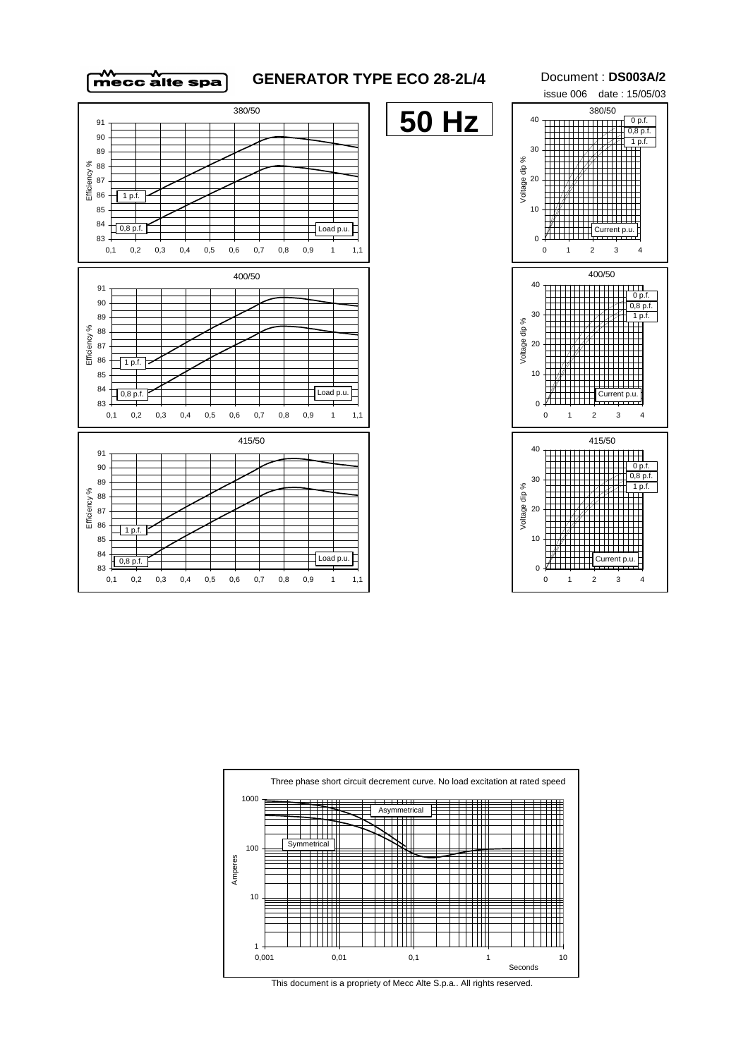

## **GENERATOR TYPE ECO 28-2L/4** Document : **DS003A/2**

**50 Hz**







This document is a propriety of Mecc Alte S.p.a.. All rights reserved.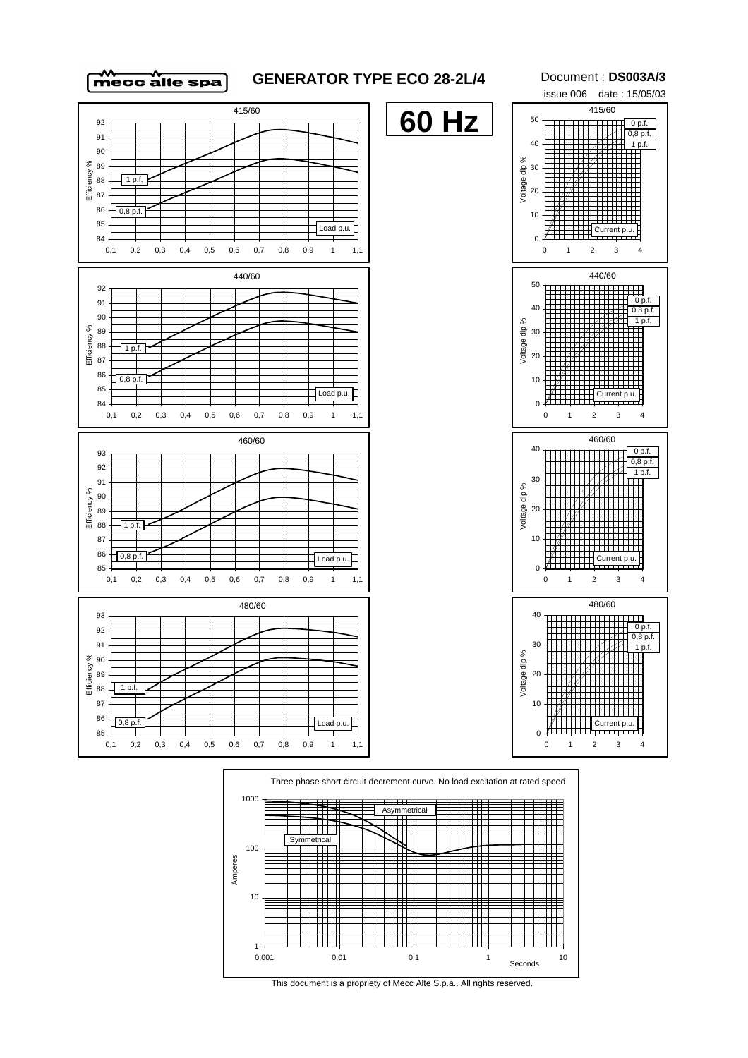

415/60

90 91 92

## **GENERATOR TYPE ECO 28-2L/4** Document : **DS003A/3**

**60 Hz**

issue 006 date : 15/05/03 415/60  $0,8$  p.f.  $1 p.f.$  $0 p.f.$ 

40 50





This document is a propriety of Mecc Alte S.p.a.. All rights reserved.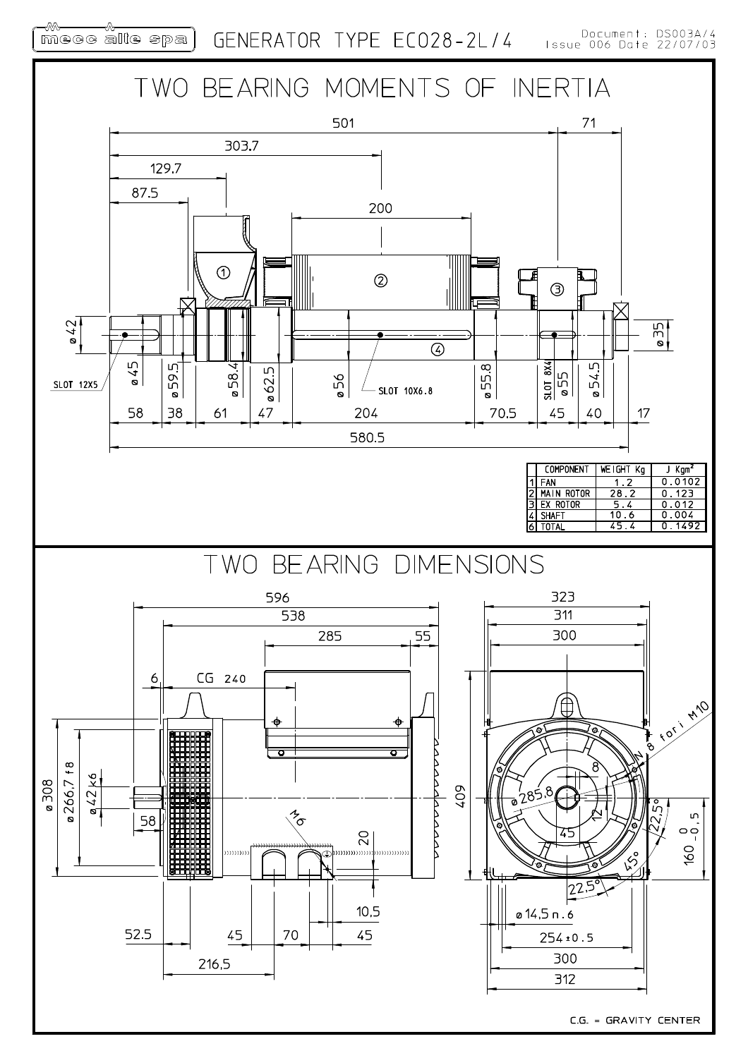